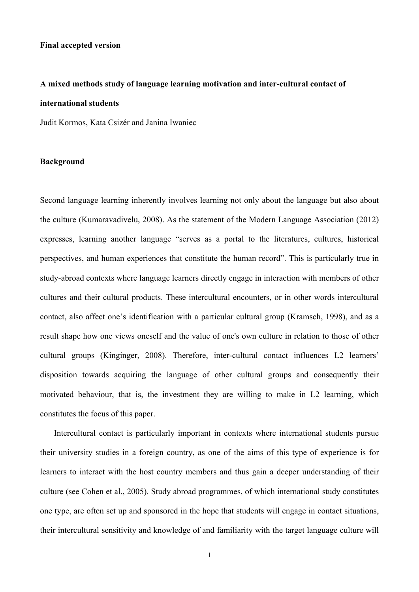### **Final accepted version**

# **A mixed methods study of language learning motivation and inter-cultural contact of international students**

Judit Kormos, Kata Csizér and Janina Iwaniec

# **Background**

Second language learning inherently involves learning not only about the language but also about the culture (Kumaravadivelu, 2008). As the statement of the Modern Language Association (2012) expresses, learning another language "serves as a portal to the literatures, cultures, historical perspectives, and human experiences that constitute the human record". This is particularly true in study-abroad contexts where language learners directly engage in interaction with members of other cultures and their cultural products. These intercultural encounters, or in other words intercultural contact, also affect one's identification with a particular cultural group (Kramsch, 1998), and as a result shape how one views oneself and the value of one's own culture in relation to those of other cultural groups (Kinginger, 2008). Therefore, inter-cultural contact influences L2 learners' disposition towards acquiring the language of other cultural groups and consequently their motivated behaviour, that is, the investment they are willing to make in L2 learning, which constitutes the focus of this paper.

Intercultural contact is particularly important in contexts where international students pursue their university studies in a foreign country, as one of the aims of this type of experience is for learners to interact with the host country members and thus gain a deeper understanding of their culture (see Cohen et al., 2005). Study abroad programmes, of which international study constitutes one type, are often set up and sponsored in the hope that students will engage in contact situations, their intercultural sensitivity and knowledge of and familiarity with the target language culture will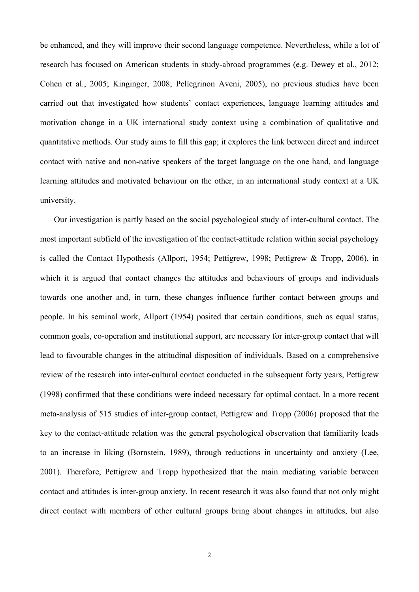be enhanced, and they will improve their second language competence. Nevertheless, while a lot of research has focused on American students in study-abroad programmes (e.g. Dewey et al., 2012; Cohen et al., 2005; Kinginger, 2008; Pellegrinon Aveni, 2005), no previous studies have been carried out that investigated how students' contact experiences, language learning attitudes and motivation change in a UK international study context using a combination of qualitative and quantitative methods. Our study aims to fill this gap; it explores the link between direct and indirect contact with native and non-native speakers of the target language on the one hand, and language learning attitudes and motivated behaviour on the other, in an international study context at a UK university.

Our investigation is partly based on the social psychological study of inter-cultural contact. The most important subfield of the investigation of the contact-attitude relation within social psychology is called the Contact Hypothesis (Allport, 1954; Pettigrew, 1998; Pettigrew & Tropp, 2006), in which it is argued that contact changes the attitudes and behaviours of groups and individuals towards one another and, in turn, these changes influence further contact between groups and people. In his seminal work, Allport (1954) posited that certain conditions, such as equal status, common goals, co-operation and institutional support, are necessary for inter-group contact that will lead to favourable changes in the attitudinal disposition of individuals. Based on a comprehensive review of the research into inter-cultural contact conducted in the subsequent forty years, Pettigrew (1998) confirmed that these conditions were indeed necessary for optimal contact. In a more recent meta-analysis of 515 studies of inter-group contact, Pettigrew and Tropp (2006) proposed that the key to the contact-attitude relation was the general psychological observation that familiarity leads to an increase in liking (Bornstein, 1989), through reductions in uncertainty and anxiety (Lee, 2001). Therefore, Pettigrew and Tropp hypothesized that the main mediating variable between contact and attitudes is inter-group anxiety. In recent research it was also found that not only might direct contact with members of other cultural groups bring about changes in attitudes, but also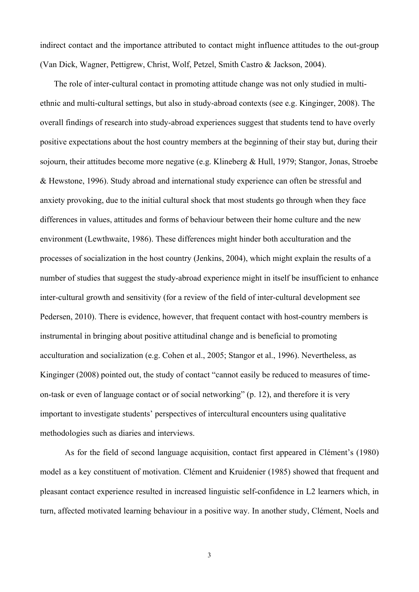indirect contact and the importance attributed to contact might influence attitudes to the out-group (Van Dick, Wagner, Pettigrew, Christ, Wolf, Petzel, Smith Castro & Jackson, 2004).

The role of inter-cultural contact in promoting attitude change was not only studied in multiethnic and multi-cultural settings, but also in study-abroad contexts (see e.g. Kinginger, 2008). The overall findings of research into study-abroad experiences suggest that students tend to have overly positive expectations about the host country members at the beginning of their stay but, during their sojourn, their attitudes become more negative (e.g. Klineberg & Hull, 1979; Stangor, Jonas, Stroebe & Hewstone, 1996). Study abroad and international study experience can often be stressful and anxiety provoking, due to the initial cultural shock that most students go through when they face differences in values, attitudes and forms of behaviour between their home culture and the new environment (Lewthwaite, 1986). These differences might hinder both acculturation and the processes of socialization in the host country (Jenkins, 2004), which might explain the results of a number of studies that suggest the study-abroad experience might in itself be insufficient to enhance inter-cultural growth and sensitivity (for a review of the field of inter-cultural development see Pedersen, 2010). There is evidence, however, that frequent contact with host-country members is instrumental in bringing about positive attitudinal change and is beneficial to promoting acculturation and socialization (e.g. Cohen et al., 2005; Stangor et al., 1996). Nevertheless, as Kinginger (2008) pointed out, the study of contact "cannot easily be reduced to measures of timeon-task or even of language contact or of social networking" (p. 12), and therefore it is very important to investigate students' perspectives of intercultural encounters using qualitative methodologies such as diaries and interviews.

As for the field of second language acquisition, contact first appeared in Clément's (1980) model as a key constituent of motivation. Clément and Kruidenier (1985) showed that frequent and pleasant contact experience resulted in increased linguistic self-confidence in L2 learners which, in turn, affected motivated learning behaviour in a positive way. In another study, Clément, Noels and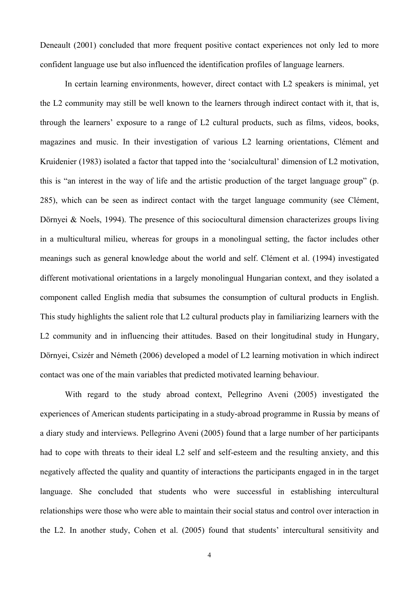Deneault (2001) concluded that more frequent positive contact experiences not only led to more confident language use but also influenced the identification profiles of language learners.

In certain learning environments, however, direct contact with L2 speakers is minimal, yet the L2 community may still be well known to the learners through indirect contact with it, that is, through the learners' exposure to a range of L2 cultural products, such as films, videos, books, magazines and music. In their investigation of various L2 learning orientations, Clément and Kruidenier (1983) isolated a factor that tapped into the 'socialcultural' dimension of L2 motivation, this is "an interest in the way of life and the artistic production of the target language group" (p. 285), which can be seen as indirect contact with the target language community (see Clément, Dörnyei & Noels, 1994). The presence of this sociocultural dimension characterizes groups living in a multicultural milieu, whereas for groups in a monolingual setting, the factor includes other meanings such as general knowledge about the world and self. Clément et al. (1994) investigated different motivational orientations in a largely monolingual Hungarian context, and they isolated a component called English media that subsumes the consumption of cultural products in English. This study highlights the salient role that L2 cultural products play in familiarizing learners with the L2 community and in influencing their attitudes. Based on their longitudinal study in Hungary, Dörnyei, Csizér and Németh (2006) developed a model of L2 learning motivation in which indirect contact was one of the main variables that predicted motivated learning behaviour.

With regard to the study abroad context, Pellegrino Aveni (2005) investigated the experiences of American students participating in a study-abroad programme in Russia by means of a diary study and interviews. Pellegrino Aveni (2005) found that a large number of her participants had to cope with threats to their ideal L2 self and self-esteem and the resulting anxiety, and this negatively affected the quality and quantity of interactions the participants engaged in in the target language. She concluded that students who were successful in establishing intercultural relationships were those who were able to maintain their social status and control over interaction in the L2. In another study, Cohen et al. (2005) found that students' intercultural sensitivity and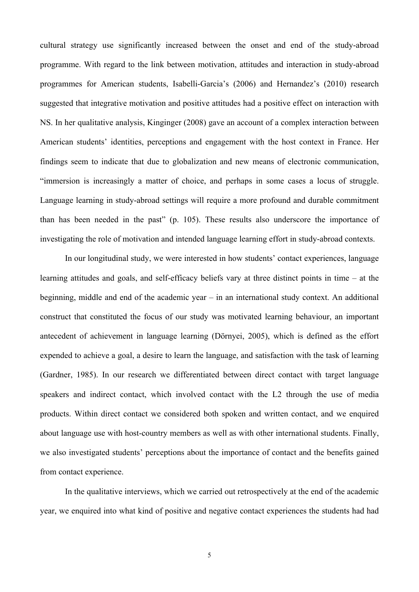cultural strategy use significantly increased between the onset and end of the study-abroad programme. With regard to the link between motivation, attitudes and interaction in study-abroad programmes for American students, Isabelli-Garcia's (2006) and Hernandez's (2010) research suggested that integrative motivation and positive attitudes had a positive effect on interaction with NS. In her qualitative analysis, Kinginger (2008) gave an account of a complex interaction between American students' identities, perceptions and engagement with the host context in France. Her findings seem to indicate that due to globalization and new means of electronic communication, "immersion is increasingly a matter of choice, and perhaps in some cases a locus of struggle. Language learning in study-abroad settings will require a more profound and durable commitment than has been needed in the past" (p. 105). These results also underscore the importance of investigating the role of motivation and intended language learning effort in study-abroad contexts.

In our longitudinal study, we were interested in how students' contact experiences, language learning attitudes and goals, and self-efficacy beliefs vary at three distinct points in time – at the beginning, middle and end of the academic year – in an international study context. An additional construct that constituted the focus of our study was motivated learning behaviour, an important antecedent of achievement in language learning (Dörnyei, 2005), which is defined as the effort expended to achieve a goal, a desire to learn the language, and satisfaction with the task of learning (Gardner, 1985). In our research we differentiated between direct contact with target language speakers and indirect contact, which involved contact with the L2 through the use of media products. Within direct contact we considered both spoken and written contact, and we enquired about language use with host-country members as well as with other international students. Finally, we also investigated students' perceptions about the importance of contact and the benefits gained from contact experience.

In the qualitative interviews, which we carried out retrospectively at the end of the academic year, we enquired into what kind of positive and negative contact experiences the students had had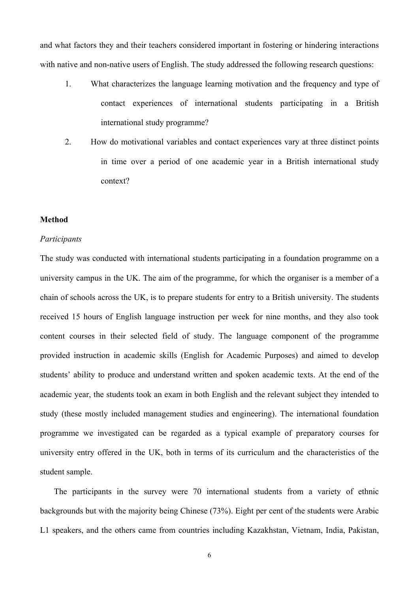and what factors they and their teachers considered important in fostering or hindering interactions with native and non-native users of English. The study addressed the following research questions:

- 1. What characterizes the language learning motivation and the frequency and type of contact experiences of international students participating in a British international study programme?
- 2. How do motivational variables and contact experiences vary at three distinct points in time over a period of one academic year in a British international study context?

# **Method**

## *Participants*

The study was conducted with international students participating in a foundation programme on a university campus in the UK. The aim of the programme, for which the organiser is a member of a chain of schools across the UK, is to prepare students for entry to a British university. The students received 15 hours of English language instruction per week for nine months, and they also took content courses in their selected field of study. The language component of the programme provided instruction in academic skills (English for Academic Purposes) and aimed to develop students' ability to produce and understand written and spoken academic texts. At the end of the academic year, the students took an exam in both English and the relevant subject they intended to study (these mostly included management studies and engineering). The international foundation programme we investigated can be regarded as a typical example of preparatory courses for university entry offered in the UK, both in terms of its curriculum and the characteristics of the student sample.

The participants in the survey were 70 international students from a variety of ethnic backgrounds but with the majority being Chinese (73%). Eight per cent of the students were Arabic L1 speakers, and the others came from countries including Kazakhstan, Vietnam, India, Pakistan,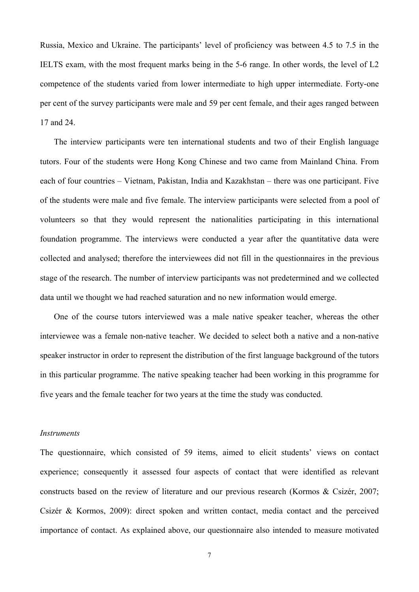Russia, Mexico and Ukraine. The participants' level of proficiency was between 4.5 to 7.5 in the IELTS exam, with the most frequent marks being in the 5-6 range. In other words, the level of L2 competence of the students varied from lower intermediate to high upper intermediate. Forty-one per cent of the survey participants were male and 59 per cent female, and their ages ranged between 17 and 24.

The interview participants were ten international students and two of their English language tutors. Four of the students were Hong Kong Chinese and two came from Mainland China. From each of four countries – Vietnam, Pakistan, India and Kazakhstan – there was one participant. Five of the students were male and five female. The interview participants were selected from a pool of volunteers so that they would represent the nationalities participating in this international foundation programme. The interviews were conducted a year after the quantitative data were collected and analysed; therefore the interviewees did not fill in the questionnaires in the previous stage of the research. The number of interview participants was not predetermined and we collected data until we thought we had reached saturation and no new information would emerge.

One of the course tutors interviewed was a male native speaker teacher, whereas the other interviewee was a female non-native teacher. We decided to select both a native and a non-native speaker instructor in order to represent the distribution of the first language background of the tutors in this particular programme. The native speaking teacher had been working in this programme for five years and the female teacher for two years at the time the study was conducted.

### *Instruments*

The questionnaire, which consisted of 59 items, aimed to elicit students' views on contact experience; consequently it assessed four aspects of contact that were identified as relevant constructs based on the review of literature and our previous research (Kormos & Csizér, 2007; Csizér & Kormos, 2009): direct spoken and written contact, media contact and the perceived importance of contact. As explained above, our questionnaire also intended to measure motivated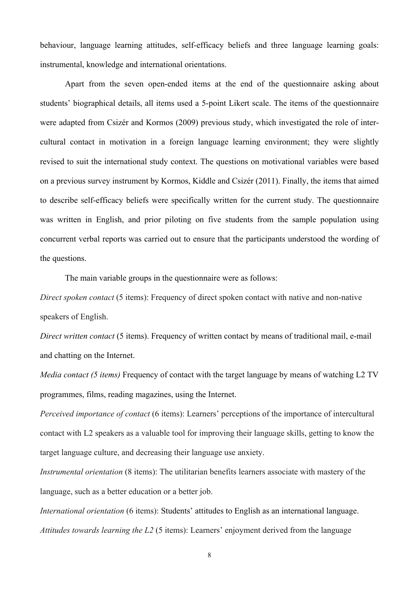behaviour, language learning attitudes, self-efficacy beliefs and three language learning goals: instrumental, knowledge and international orientations.

Apart from the seven open-ended items at the end of the questionnaire asking about students' biographical details, all items used a 5-point Likert scale. The items of the questionnaire were adapted from Csizér and Kormos (2009) previous study, which investigated the role of intercultural contact in motivation in a foreign language learning environment; they were slightly revised to suit the international study context. The questions on motivational variables were based on a previous survey instrument by Kormos, Kiddle and Csizér (2011). Finally, the items that aimed to describe self-efficacy beliefs were specifically written for the current study. The questionnaire was written in English, and prior piloting on five students from the sample population using concurrent verbal reports was carried out to ensure that the participants understood the wording of the questions.

The main variable groups in the questionnaire were as follows:

*Direct spoken contact* (5 items): Frequency of direct spoken contact with native and non-native speakers of English.

*Direct written contact* (5 items). Frequency of written contact by means of traditional mail, e-mail and chatting on the Internet.

*Media contact (5 items)* Frequency of contact with the target language by means of watching L2 TV programmes, films, reading magazines, using the Internet.

*Perceived importance of contact* (6 items): Learners' perceptions of the importance of intercultural contact with L2 speakers as a valuable tool for improving their language skills, getting to know the target language culture, and decreasing their language use anxiety.

*Instrumental orientation* (8 items): The utilitarian benefits learners associate with mastery of the language, such as a better education or a better job.

*International orientation* (6 items): Students' attitudes to English as an international language. *Attitudes towards learning the L2* (5 items): Learners' enjoyment derived from the language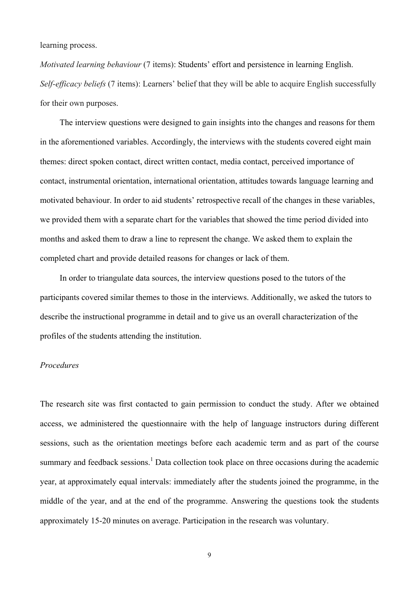learning process.

*Motivated learning behaviour* (7 items): Students' effort and persistence in learning English. *Self-efficacy beliefs* (7 items): Learners' belief that they will be able to acquire English successfully for their own purposes.

The interview questions were designed to gain insights into the changes and reasons for them in the aforementioned variables. Accordingly, the interviews with the students covered eight main themes: direct spoken contact, direct written contact, media contact, perceived importance of contact, instrumental orientation, international orientation, attitudes towards language learning and motivated behaviour. In order to aid students' retrospective recall of the changes in these variables, we provided them with a separate chart for the variables that showed the time period divided into months and asked them to draw a line to represent the change. We asked them to explain the completed chart and provide detailed reasons for changes or lack of them.

In order to triangulate data sources, the interview questions posed to the tutors of the participants covered similar themes to those in the interviews. Additionally, we asked the tutors to describe the instructional programme in detail and to give us an overall characterization of the profiles of the students attending the institution.

## *Procedures*

The research site was first contacted to gain permission to conduct the study. After we obtained access, we administered the questionnaire with the help of language instructors during different sessions, such as the orientation meetings before each academic term and as part of the course summary and feedback sessions.<sup>1</sup> Data collection took place on three occasions during the academic year, at approximately equal intervals: immediately after the students joined the programme, in the middle of the year, and at the end of the programme. Answering the questions took the students approximately 15-20 minutes on average. Participation in the research was voluntary.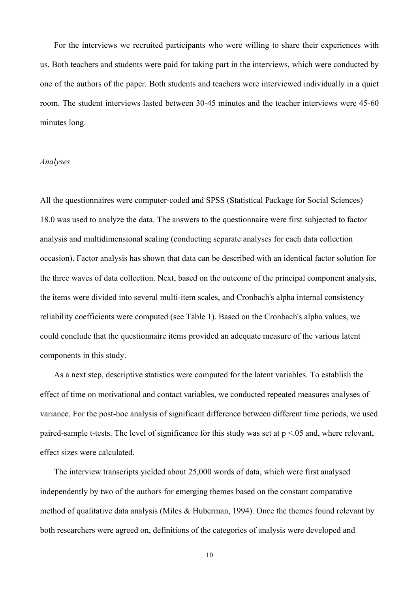For the interviews we recruited participants who were willing to share their experiences with us. Both teachers and students were paid for taking part in the interviews, which were conducted by one of the authors of the paper. Both students and teachers were interviewed individually in a quiet room. The student interviews lasted between 30-45 minutes and the teacher interviews were 45-60 minutes long.

## *Analyses*

All the questionnaires were computer-coded and SPSS (Statistical Package for Social Sciences) 18.0 was used to analyze the data. The answers to the questionnaire were first subjected to factor analysis and multidimensional scaling (conducting separate analyses for each data collection occasion). Factor analysis has shown that data can be described with an identical factor solution for the three waves of data collection. Next, based on the outcome of the principal component analysis, the items were divided into several multi-item scales, and Cronbach's alpha internal consistency reliability coefficients were computed (see Table 1). Based on the Cronbach's alpha values, we could conclude that the questionnaire items provided an adequate measure of the various latent components in this study.

As a next step, descriptive statistics were computed for the latent variables. To establish the effect of time on motivational and contact variables, we conducted repeated measures analyses of variance. For the post-hoc analysis of significant difference between different time periods, we used paired-sample t-tests. The level of significance for this study was set at  $p \le 0.05$  and, where relevant, effect sizes were calculated.

The interview transcripts yielded about 25,000 words of data, which were first analysed independently by two of the authors for emerging themes based on the constant comparative method of qualitative data analysis (Miles & Huberman, 1994). Once the themes found relevant by both researchers were agreed on, definitions of the categories of analysis were developed and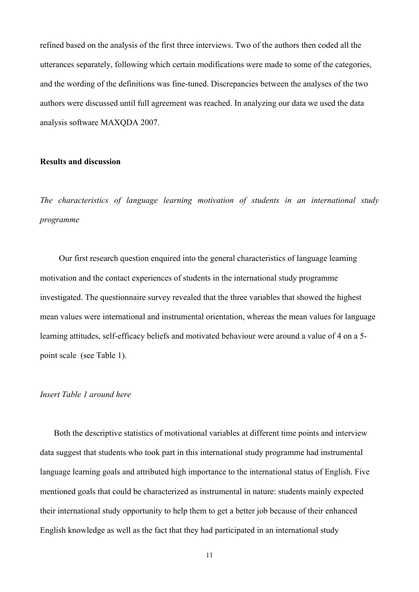refined based on the analysis of the first three interviews. Two of the authors then coded all the utterances separately, following which certain modifications were made to some of the categories, and the wording of the definitions was fine-tuned. Discrepancies between the analyses of the two authors were discussed until full agreement was reached. In analyzing our data we used the data analysis software MAXQDA 2007.

# **Results and discussion**

*The characteristics of language learning motivation of students in an international study programme*

Our first research question enquired into the general characteristics of language learning motivation and the contact experiences of students in the international study programme investigated. The questionnaire survey revealed that the three variables that showed the highest mean values were international and instrumental orientation, whereas the mean values for language learning attitudes, self-efficacy beliefs and motivated behaviour were around a value of 4 on a 5 point scale (see Table 1).

# *Insert Table 1 around here*

Both the descriptive statistics of motivational variables at different time points and interview data suggest that students who took part in this international study programme had instrumental language learning goals and attributed high importance to the international status of English. Five mentioned goals that could be characterized as instrumental in nature: students mainly expected their international study opportunity to help them to get a better job because of their enhanced English knowledge as well as the fact that they had participated in an international study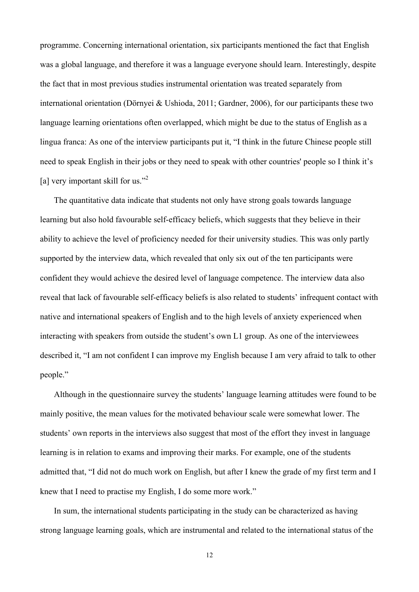programme. Concerning international orientation, six participants mentioned the fact that English was a global language, and therefore it was a language everyone should learn. Interestingly, despite the fact that in most previous studies instrumental orientation was treated separately from international orientation (Dörnyei & Ushioda, 2011; Gardner, 2006), for our participants these two language learning orientations often overlapped, which might be due to the status of English as a lingua franca: As one of the interview participants put it, "I think in the future Chinese people still need to speak English in their jobs or they need to speak with other countries' people so I think it's [a] very important skill for us."<sup>2</sup>

The quantitative data indicate that students not only have strong goals towards language learning but also hold favourable self-efficacy beliefs, which suggests that they believe in their ability to achieve the level of proficiency needed for their university studies. This was only partly supported by the interview data, which revealed that only six out of the ten participants were confident they would achieve the desired level of language competence. The interview data also reveal that lack of favourable self-efficacy beliefs is also related to students' infrequent contact with native and international speakers of English and to the high levels of anxiety experienced when interacting with speakers from outside the student's own L1 group. As one of the interviewees described it, "I am not confident I can improve my English because I am very afraid to talk to other people."

Although in the questionnaire survey the students' language learning attitudes were found to be mainly positive, the mean values for the motivated behaviour scale were somewhat lower. The students' own reports in the interviews also suggest that most of the effort they invest in language learning is in relation to exams and improving their marks. For example, one of the students admitted that, "I did not do much work on English, but after I knew the grade of my first term and I knew that I need to practise my English, I do some more work."

In sum, the international students participating in the study can be characterized as having strong language learning goals, which are instrumental and related to the international status of the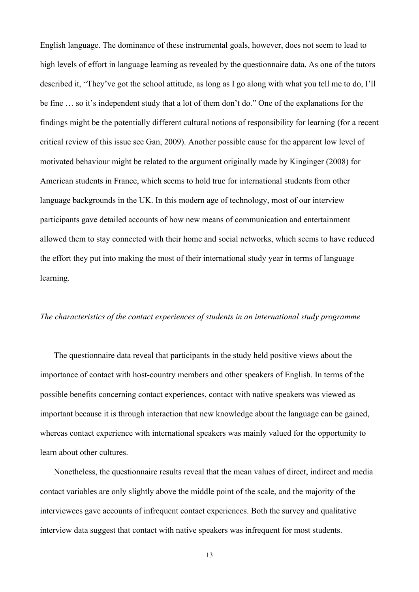English language. The dominance of these instrumental goals, however, does not seem to lead to high levels of effort in language learning as revealed by the questionnaire data. As one of the tutors described it, "They've got the school attitude, as long as I go along with what you tell me to do, I'll be fine … so it's independent study that a lot of them don't do." One of the explanations for the findings might be the potentially different cultural notions of responsibility for learning (for a recent critical review of this issue see Gan, 2009). Another possible cause for the apparent low level of motivated behaviour might be related to the argument originally made by Kinginger (2008) for American students in France, which seems to hold true for international students from other language backgrounds in the UK. In this modern age of technology, most of our interview participants gave detailed accounts of how new means of communication and entertainment allowed them to stay connected with their home and social networks, which seems to have reduced the effort they put into making the most of their international study year in terms of language learning.

## *The characteristics of the contact experiences of students in an international study programme*

The questionnaire data reveal that participants in the study held positive views about the importance of contact with host-country members and other speakers of English. In terms of the possible benefits concerning contact experiences, contact with native speakers was viewed as important because it is through interaction that new knowledge about the language can be gained, whereas contact experience with international speakers was mainly valued for the opportunity to learn about other cultures.

Nonetheless, the questionnaire results reveal that the mean values of direct, indirect and media contact variables are only slightly above the middle point of the scale, and the majority of the interviewees gave accounts of infrequent contact experiences. Both the survey and qualitative interview data suggest that contact with native speakers was infrequent for most students.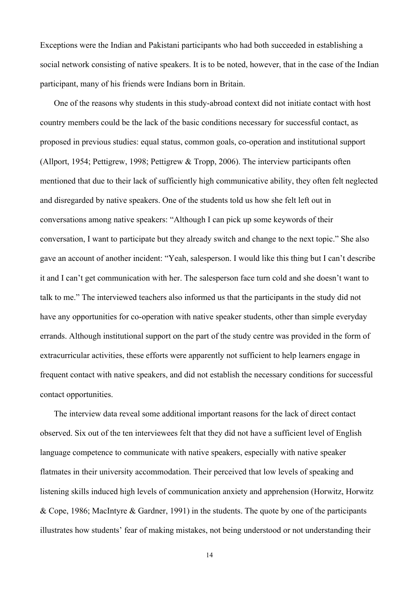Exceptions were the Indian and Pakistani participants who had both succeeded in establishing a social network consisting of native speakers. It is to be noted, however, that in the case of the Indian participant, many of his friends were Indians born in Britain.

One of the reasons why students in this study-abroad context did not initiate contact with host country members could be the lack of the basic conditions necessary for successful contact, as proposed in previous studies: equal status, common goals, co-operation and institutional support (Allport, 1954; Pettigrew, 1998; Pettigrew & Tropp, 2006). The interview participants often mentioned that due to their lack of sufficiently high communicative ability, they often felt neglected and disregarded by native speakers. One of the students told us how she felt left out in conversations among native speakers: "Although I can pick up some keywords of their conversation, I want to participate but they already switch and change to the next topic." She also gave an account of another incident: "Yeah, salesperson. I would like this thing but I can't describe it and I can't get communication with her. The salesperson face turn cold and she doesn't want to talk to me." The interviewed teachers also informed us that the participants in the study did not have any opportunities for co-operation with native speaker students, other than simple everyday errands. Although institutional support on the part of the study centre was provided in the form of extracurricular activities, these efforts were apparently not sufficient to help learners engage in frequent contact with native speakers, and did not establish the necessary conditions for successful contact opportunities.

The interview data reveal some additional important reasons for the lack of direct contact observed. Six out of the ten interviewees felt that they did not have a sufficient level of English language competence to communicate with native speakers, especially with native speaker flatmates in their university accommodation. Their perceived that low levels of speaking and listening skills induced high levels of communication anxiety and apprehension (Horwitz, Horwitz & Cope, 1986; MacIntyre & Gardner, 1991) in the students. The quote by one of the participants illustrates how students' fear of making mistakes, not being understood or not understanding their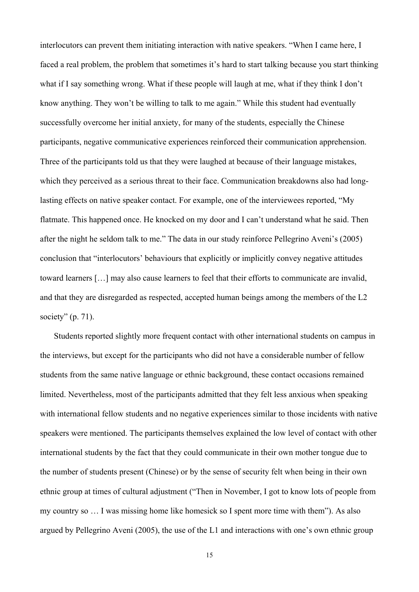interlocutors can prevent them initiating interaction with native speakers. "When I came here, I faced a real problem, the problem that sometimes it's hard to start talking because you start thinking what if I say something wrong. What if these people will laugh at me, what if they think I don't know anything. They won't be willing to talk to me again." While this student had eventually successfully overcome her initial anxiety, for many of the students, especially the Chinese participants, negative communicative experiences reinforced their communication apprehension. Three of the participants told us that they were laughed at because of their language mistakes, which they perceived as a serious threat to their face. Communication breakdowns also had longlasting effects on native speaker contact. For example, one of the interviewees reported, "My flatmate. This happened once. He knocked on my door and I can't understand what he said. Then after the night he seldom talk to me." The data in our study reinforce Pellegrino Aveni's (2005) conclusion that "interlocutors' behaviours that explicitly or implicitly convey negative attitudes toward learners […] may also cause learners to feel that their efforts to communicate are invalid, and that they are disregarded as respected, accepted human beings among the members of the L2 society"  $(p. 71)$ .

Students reported slightly more frequent contact with other international students on campus in the interviews, but except for the participants who did not have a considerable number of fellow students from the same native language or ethnic background, these contact occasions remained limited. Nevertheless, most of the participants admitted that they felt less anxious when speaking with international fellow students and no negative experiences similar to those incidents with native speakers were mentioned. The participants themselves explained the low level of contact with other international students by the fact that they could communicate in their own mother tongue due to the number of students present (Chinese) or by the sense of security felt when being in their own ethnic group at times of cultural adjustment ("Then in November, I got to know lots of people from my country so … I was missing home like homesick so I spent more time with them"). As also argued by Pellegrino Aveni (2005), the use of the L1 and interactions with one's own ethnic group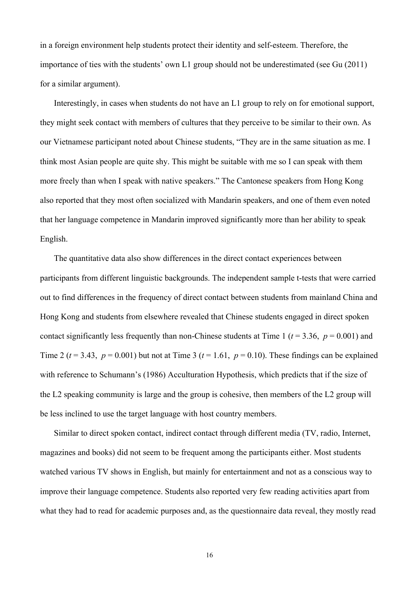in a foreign environment help students protect their identity and self-esteem. Therefore, the importance of ties with the students' own L1 group should not be underestimated (see Gu (2011) for a similar argument).

Interestingly, in cases when students do not have an L1 group to rely on for emotional support, they might seek contact with members of cultures that they perceive to be similar to their own. As our Vietnamese participant noted about Chinese students, "They are in the same situation as me. I think most Asian people are quite shy. This might be suitable with me so I can speak with them more freely than when I speak with native speakers." The Cantonese speakers from Hong Kong also reported that they most often socialized with Mandarin speakers, and one of them even noted that her language competence in Mandarin improved significantly more than her ability to speak English.

The quantitative data also show differences in the direct contact experiences between participants from different linguistic backgrounds. The independent sample t-tests that were carried out to find differences in the frequency of direct contact between students from mainland China and Hong Kong and students from elsewhere revealed that Chinese students engaged in direct spoken contact significantly less frequently than non-Chinese students at Time 1 ( $t = 3.36$ ,  $p = 0.001$ ) and Time 2 ( $t = 3.43$ ,  $p = 0.001$ ) but not at Time 3 ( $t = 1.61$ ,  $p = 0.10$ ). These findings can be explained with reference to Schumann's (1986) Acculturation Hypothesis, which predicts that if the size of the L2 speaking community is large and the group is cohesive, then members of the L2 group will be less inclined to use the target language with host country members.

Similar to direct spoken contact, indirect contact through different media (TV, radio, Internet, magazines and books) did not seem to be frequent among the participants either. Most students watched various TV shows in English, but mainly for entertainment and not as a conscious way to improve their language competence. Students also reported very few reading activities apart from what they had to read for academic purposes and, as the questionnaire data reveal, they mostly read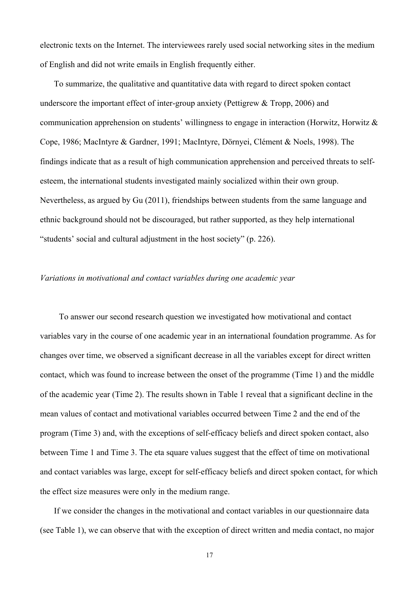electronic texts on the Internet. The interviewees rarely used social networking sites in the medium of English and did not write emails in English frequently either.

To summarize, the qualitative and quantitative data with regard to direct spoken contact underscore the important effect of inter-group anxiety (Pettigrew & Tropp, 2006) and communication apprehension on students' willingness to engage in interaction (Horwitz, Horwitz & Cope, 1986; MacIntyre & Gardner, 1991; MacIntyre, Dörnyei, Clément & Noels, 1998). The findings indicate that as a result of high communication apprehension and perceived threats to selfesteem, the international students investigated mainly socialized within their own group. Nevertheless, as argued by Gu (2011), friendships between students from the same language and ethnic background should not be discouraged, but rather supported, as they help international "students' social and cultural adjustment in the host society" (p. 226).

## *Variations in motivational and contact variables during one academic year*

To answer our second research question we investigated how motivational and contact variables vary in the course of one academic year in an international foundation programme. As for changes over time, we observed a significant decrease in all the variables except for direct written contact, which was found to increase between the onset of the programme (Time 1) and the middle of the academic year (Time 2). The results shown in Table 1 reveal that a significant decline in the mean values of contact and motivational variables occurred between Time 2 and the end of the program (Time 3) and, with the exceptions of self-efficacy beliefs and direct spoken contact, also between Time 1 and Time 3. The eta square values suggest that the effect of time on motivational and contact variables was large, except for self-efficacy beliefs and direct spoken contact, for which the effect size measures were only in the medium range.

If we consider the changes in the motivational and contact variables in our questionnaire data (see Table 1), we can observe that with the exception of direct written and media contact, no major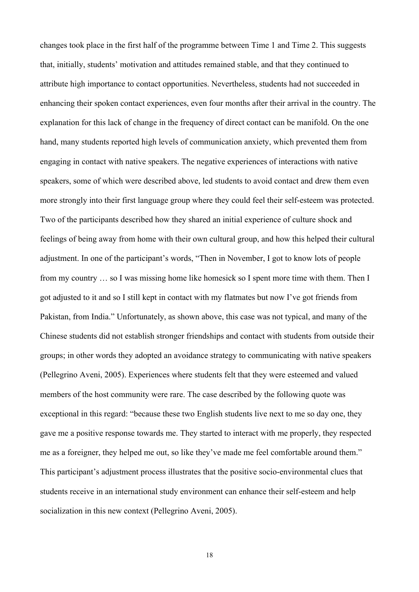changes took place in the first half of the programme between Time 1 and Time 2. This suggests that, initially, students' motivation and attitudes remained stable, and that they continued to attribute high importance to contact opportunities. Nevertheless, students had not succeeded in enhancing their spoken contact experiences, even four months after their arrival in the country. The explanation for this lack of change in the frequency of direct contact can be manifold. On the one hand, many students reported high levels of communication anxiety, which prevented them from engaging in contact with native speakers. The negative experiences of interactions with native speakers, some of which were described above, led students to avoid contact and drew them even more strongly into their first language group where they could feel their self-esteem was protected. Two of the participants described how they shared an initial experience of culture shock and feelings of being away from home with their own cultural group, and how this helped their cultural adjustment. In one of the participant's words, "Then in November, I got to know lots of people from my country … so I was missing home like homesick so I spent more time with them. Then I got adjusted to it and so I still kept in contact with my flatmates but now I've got friends from Pakistan, from India." Unfortunately, as shown above, this case was not typical, and many of the Chinese students did not establish stronger friendships and contact with students from outside their groups; in other words they adopted an avoidance strategy to communicating with native speakers (Pellegrino Aveni, 2005). Experiences where students felt that they were esteemed and valued members of the host community were rare. The case described by the following quote was exceptional in this regard: "because these two English students live next to me so day one, they gave me a positive response towards me. They started to interact with me properly, they respected me as a foreigner, they helped me out, so like they've made me feel comfortable around them." This participant's adjustment process illustrates that the positive socio-environmental clues that students receive in an international study environment can enhance their self-esteem and help socialization in this new context (Pellegrino Aveni, 2005).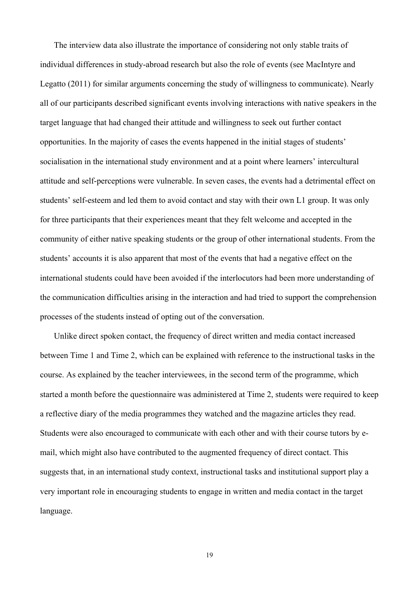The interview data also illustrate the importance of considering not only stable traits of individual differences in study-abroad research but also the role of events (see MacIntyre and Legatto (2011) for similar arguments concerning the study of willingness to communicate). Nearly all of our participants described significant events involving interactions with native speakers in the target language that had changed their attitude and willingness to seek out further contact opportunities. In the majority of cases the events happened in the initial stages of students' socialisation in the international study environment and at a point where learners' intercultural attitude and self-perceptions were vulnerable. In seven cases, the events had a detrimental effect on students' self-esteem and led them to avoid contact and stay with their own L1 group. It was only for three participants that their experiences meant that they felt welcome and accepted in the community of either native speaking students or the group of other international students. From the students' accounts it is also apparent that most of the events that had a negative effect on the international students could have been avoided if the interlocutors had been more understanding of the communication difficulties arising in the interaction and had tried to support the comprehension processes of the students instead of opting out of the conversation.

Unlike direct spoken contact, the frequency of direct written and media contact increased between Time 1 and Time 2, which can be explained with reference to the instructional tasks in the course. As explained by the teacher interviewees, in the second term of the programme, which started a month before the questionnaire was administered at Time 2, students were required to keep a reflective diary of the media programmes they watched and the magazine articles they read. Students were also encouraged to communicate with each other and with their course tutors by email, which might also have contributed to the augmented frequency of direct contact. This suggests that, in an international study context, instructional tasks and institutional support play a very important role in encouraging students to engage in written and media contact in the target language.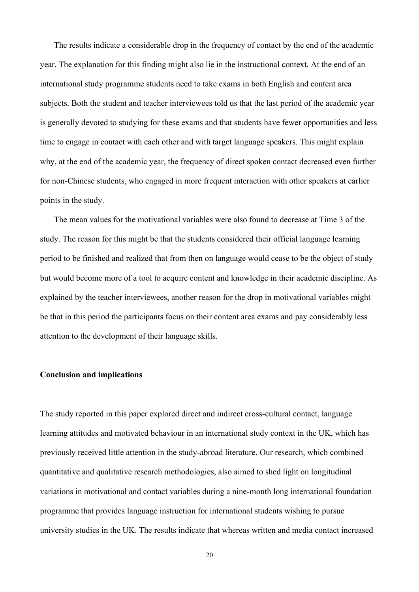The results indicate a considerable drop in the frequency of contact by the end of the academic year. The explanation for this finding might also lie in the instructional context. At the end of an international study programme students need to take exams in both English and content area subjects. Both the student and teacher interviewees told us that the last period of the academic year is generally devoted to studying for these exams and that students have fewer opportunities and less time to engage in contact with each other and with target language speakers. This might explain why, at the end of the academic year, the frequency of direct spoken contact decreased even further for non-Chinese students, who engaged in more frequent interaction with other speakers at earlier points in the study.

The mean values for the motivational variables were also found to decrease at Time 3 of the study. The reason for this might be that the students considered their official language learning period to be finished and realized that from then on language would cease to be the object of study but would become more of a tool to acquire content and knowledge in their academic discipline. As explained by the teacher interviewees, another reason for the drop in motivational variables might be that in this period the participants focus on their content area exams and pay considerably less attention to the development of their language skills.

# **Conclusion and implications**

The study reported in this paper explored direct and indirect cross-cultural contact, language learning attitudes and motivated behaviour in an international study context in the UK, which has previously received little attention in the study-abroad literature. Our research, which combined quantitative and qualitative research methodologies, also aimed to shed light on longitudinal variations in motivational and contact variables during a nine-month long international foundation programme that provides language instruction for international students wishing to pursue university studies in the UK. The results indicate that whereas written and media contact increased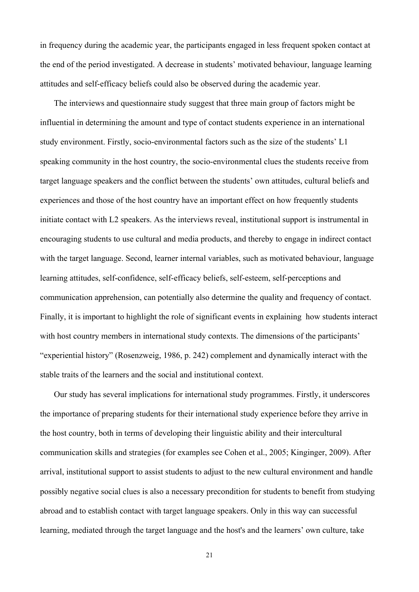in frequency during the academic year, the participants engaged in less frequent spoken contact at the end of the period investigated. A decrease in students' motivated behaviour, language learning attitudes and self-efficacy beliefs could also be observed during the academic year.

The interviews and questionnaire study suggest that three main group of factors might be influential in determining the amount and type of contact students experience in an international study environment. Firstly, socio-environmental factors such as the size of the students' L1 speaking community in the host country, the socio-environmental clues the students receive from target language speakers and the conflict between the students' own attitudes, cultural beliefs and experiences and those of the host country have an important effect on how frequently students initiate contact with L2 speakers. As the interviews reveal, institutional support is instrumental in encouraging students to use cultural and media products, and thereby to engage in indirect contact with the target language. Second, learner internal variables, such as motivated behaviour, language learning attitudes, self-confidence, self-efficacy beliefs, self-esteem, self-perceptions and communication apprehension, can potentially also determine the quality and frequency of contact. Finally, it is important to highlight the role of significant events in explaining how students interact with host country members in international study contexts. The dimensions of the participants' "experiential history" (Rosenzweig, 1986, p. 242) complement and dynamically interact with the stable traits of the learners and the social and institutional context.

Our study has several implications for international study programmes. Firstly, it underscores the importance of preparing students for their international study experience before they arrive in the host country, both in terms of developing their linguistic ability and their intercultural communication skills and strategies (for examples see Cohen et al., 2005; Kinginger, 2009). After arrival, institutional support to assist students to adjust to the new cultural environment and handle possibly negative social clues is also a necessary precondition for students to benefit from studying abroad and to establish contact with target language speakers. Only in this way can successful learning, mediated through the target language and the host's and the learners' own culture, take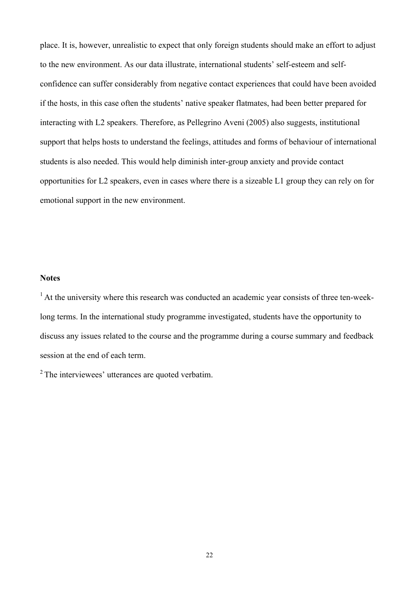place. It is, however, unrealistic to expect that only foreign students should make an effort to adjust to the new environment. As our data illustrate, international students' self-esteem and selfconfidence can suffer considerably from negative contact experiences that could have been avoided if the hosts, in this case often the students' native speaker flatmates, had been better prepared for interacting with L2 speakers. Therefore, as Pellegrino Aveni (2005) also suggests, institutional support that helps hosts to understand the feelings, attitudes and forms of behaviour of international students is also needed. This would help diminish inter-group anxiety and provide contact opportunities for L2 speakers, even in cases where there is a sizeable L1 group they can rely on for emotional support in the new environment.

## **Notes**

<sup>1</sup> At the university where this research was conducted an academic year consists of three ten-weeklong terms. In the international study programme investigated, students have the opportunity to discuss any issues related to the course and the programme during a course summary and feedback session at the end of each term.

<sup>2</sup> The interviewees' utterances are quoted verbatim.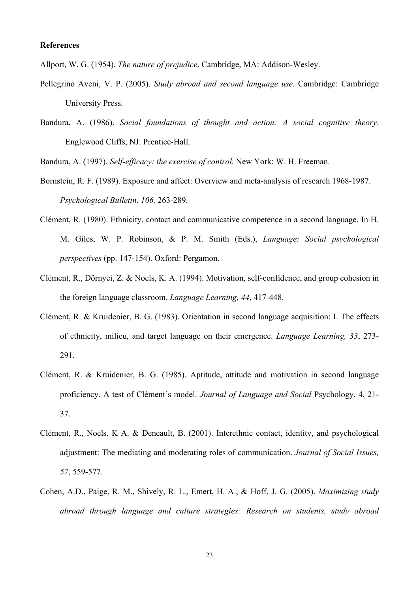## **References**

Allport, W. G. (1954). *The nature of prejudice*. Cambridge, MA: Addison-Wesley.

- Pellegrino Aveni, V. P. (2005). *Study abroad and second language use*. Cambridge: Cambridge University Press.
- Bandura, A. (1986). *Social foundations of thought and action: A social cognitive theory*. Englewood Cliffs, NJ: Prentice-Hall.

Bandura, A. (1997). *Self-efficacy: the exercise of control.* New York: W. H. Freeman.

- Bornstein, R. F. (1989). Exposure and affect: Overview and meta-analysis of research 1968-1987. *Psychological Bulletin, 106,* 263-289.
- Clément, R. (1980). Ethnicity, contact and communicative competence in a second language. In H. M. Giles, W. P. Robinson, & P. M. Smith (Eds.), *Language: Social psychological perspectives* (pp. 147-154). Oxford: Pergamon.
- Clément, R., Dörnyei, Z. & Noels, K. A. (1994). Motivation, self-confidence, and group cohesion in the foreign language classroom. *Language Learning, 44*, 417-448.
- Clément, R. & Kruidenier, B. G. (1983). Orientation in second language acquisition: I. The effects of ethnicity, milieu, and target language on their emergence. *Language Learning, 33*, 273- 291.
- Clément, R. & Kruidenier, B. G. (1985). Aptitude, attitude and motivation in second language proficiency. A test of Clément's model. *Journal of Language and Social* Psychology, 4, 21- 37.
- Clément, R., Noels, K A. & Deneault, B. (2001). Interethnic contact, identity, and psychological adjustment: The mediating and moderating roles of communication. *Journal of Social Issues, 57*, 559-577.
- Cohen, A.D., Paige, R. M., Shively, R. L., Emert, H. A., & Hoff, J. G. (2005). *Maximizing study abroad through language and culture strategies: Research on students, study abroad*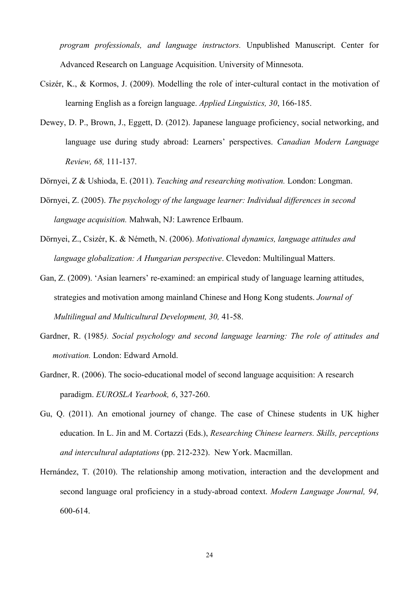*program professionals, and language instructors.* Unpublished Manuscript. Center for Advanced Research on Language Acquisition. University of Minnesota.

- Csizér, K., & Kormos, J. (2009). Modelling the role of inter-cultural contact in the motivation of learning English as a foreign language. *Applied Linguistics, 30*, 166-185.
- Dewey, D. P., Brown, J., Eggett, D. (2012). Japanese language proficiency, social networking, and language use during study abroad: Learners' perspectives. *Canadian Modern Language Review, 68,* 111-137.
- Dörnyei, Z & Ushioda, E. (2011). *Teaching and researching motivation.* London: Longman.
- Dörnyei, Z. (2005). *The psychology of the language learner: Individual differences in second language acquisition.* Mahwah, NJ: Lawrence Erlbaum.
- Dörnyei, Z., Csizér, K. & Németh, N. (2006). *Motivational dynamics, language attitudes and language globalization: A Hungarian perspective*. Clevedon: Multilingual Matters.
- Gan, Z. (2009). 'Asian learners' re-examined: an empirical study of language learning attitudes, strategies and motivation among mainland Chinese and Hong Kong students. *Journal of Multilingual and Multicultural Development, 30,* 41-58.
- Gardner, R. (1985*). Social psychology and second language learning: The role of attitudes and motivation.* London: Edward Arnold.
- Gardner, R. (2006). The socio-educational model of second language acquisition: A research paradigm. *EUROSLA Yearbook, 6*, 327-260.
- Gu, Q. (2011). An emotional journey of change. The case of Chinese students in UK higher education. In L. Jin and M. Cortazzi (Eds.), *Researching Chinese learners. Skills, perceptions and intercultural adaptations* (pp. 212-232). New York. Macmillan.
- Hernández, T. (2010). The relationship among motivation, interaction and the development and second language oral proficiency in a study-abroad context. *Modern Language Journal, 94,* 600-614.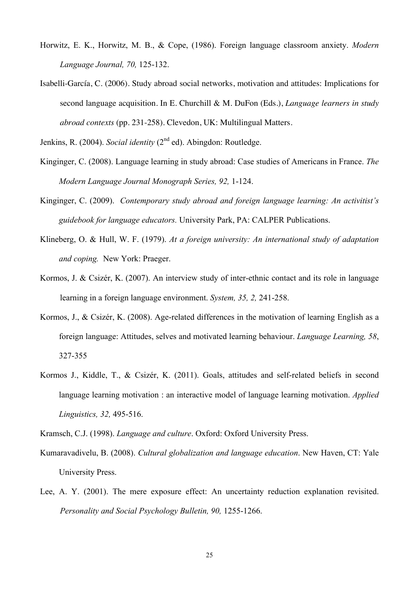- Horwitz, E. K., Horwitz, M. B., & Cope, (1986). Foreign language classroom anxiety. *Modern Language Journal, 70,* 125-132.
- Isabelli-García, C. (2006). Study abroad social networks, motivation and attitudes: Implications for second language acquisition. In E. Churchill & M. DuFon (Eds.), *Language learners in study abroad contexts* (pp. 231-258). Clevedon, UK: Multilingual Matters.

Jenkins, R. (2004). *Social identity* (2<sup>nd</sup> ed). Abingdon: Routledge.

- Kinginger, C. (2008). Language learning in study abroad: Case studies of Americans in France. *The Modern Language Journal Monograph Series, 92,* 1-124.
- Kinginger, C. (2009). *Contemporary study abroad and foreign language learning: An activitist's guidebook for language educators.* University Park, PA: CALPER Publications.
- Klineberg, O. & Hull, W. F. (1979). *At a foreign university: An international study of adaptation and coping.* New York: Praeger.
- Kormos, J. & Csizér, K. (2007). An interview study of inter-ethnic contact and its role in language learning in a foreign language environment. *System, 35, 2,* 241-258.
- Kormos, J., & Csizér, K. (2008). Age-related differences in the motivation of learning English as a foreign language: Attitudes, selves and motivated learning behaviour. *Language Learning, 58*, 327-355
- Kormos J., Kiddle, T., & Csizér, K. (2011). Goals, attitudes and self-related beliefs in second language learning motivation : an interactive model of language learning motivation. *Applied Linguistics, 32,* 495-516.

Kramsch, C.J. (1998). *Language and culture*. Oxford: Oxford University Press.

- Kumaravadivelu, B. (2008). *Cultural globalization and language education*. New Haven, CT: Yale University Press.
- Lee, A. Y. (2001). The mere exposure effect: An uncertainty reduction explanation revisited. *Personality and Social Psychology Bulletin, 90,* 1255-1266.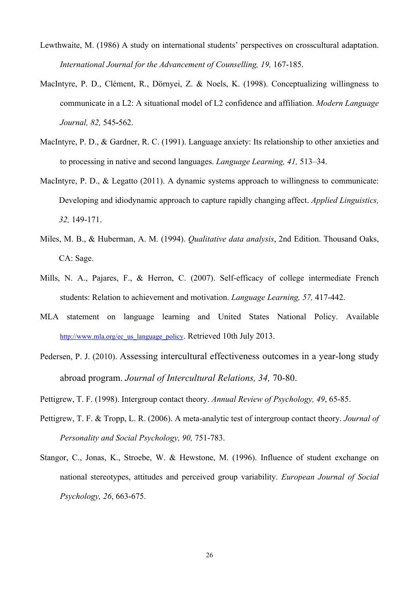- Lewthwaite, M. (1986) A study on international students' perspectives on crosscultural adaptation. *International Journal for the Advancement of Counselling, 19,* 167-185.
- MacIntyre, P. D., Clément, R., Dörnyei, Z. & Noels, K. (1998). Conceptualizing willingness to communicate in a L2: A situational model of L2 confidence and affiliation. *Modern Language Journal, 82,* 545**-**562.
- MacIntyre, P. D., & Gardner, R. C. (1991). Language anxiety: Its relationship to other anxieties and to processing in native and second languages. *Language Learning, 41,* 513–34.
- MacIntyre, P. D., & Legatto (2011). A dynamic systems approach to willingness to communicate: Developing and idiodynamic approach to capture rapidly changing affect. *Applied Linguistics, 32,* 149-171.
- Miles, M. B., & Huberman, A. M. (1994). *Qualitative data analysis*, 2nd Edition. Thousand Oaks, CA: Sage.
- Mills, N. A., Pajares, F., & Herron, C. (2007). Self-efficacy of college intermediate French students: Relation to achievement and motivation. *Language Learning, 57,* 417-442.
- MLA statement on language learning and United States National Policy. Available http://www.mla.org/ec\_us\_language\_policy. Retrieved 10th July 2013.
- Pedersen, P. J. (2010). Assessing intercultural effectiveness outcomes in a year-long study abroad program. *Journal of Intercultural Relations, 34,* 70-80.
- Pettigrew, T. F. (1998). Intergroup contact theory. *Annual Review of Psychology, 49*, 65-85.
- Pettigrew, T. F. & Tropp, L. R. (2006). A meta-analytic test of intergroup contact theory. *Journal of Personality and Social Psychology, 90,* 751-783.
- Stangor, C., Jonas, K., Stroebe, W. & Hewstone, M. (1996). Influence of student exchange on national stereotypes, attitudes and perceived group variability. *European Journal of Social Psychology, 26*, 663-675.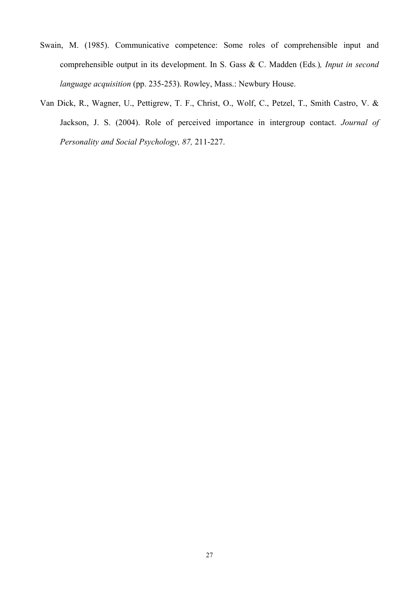- Swain, M. (1985). Communicative competence: Some roles of comprehensible input and comprehensible output in its development. In S. Gass & C. Madden (Eds*.*)*, Input in second language acquisition* (pp. 235-253). Rowley, Mass.: Newbury House.
- Van Dick, R., Wagner, U., Pettigrew, T. F., Christ, O., Wolf, C., Petzel, T., Smith Castro, V. & Jackson, J. S. (2004). Role of perceived importance in intergroup contact. *Journal of Personality and Social Psychology, 87,* 211-227.